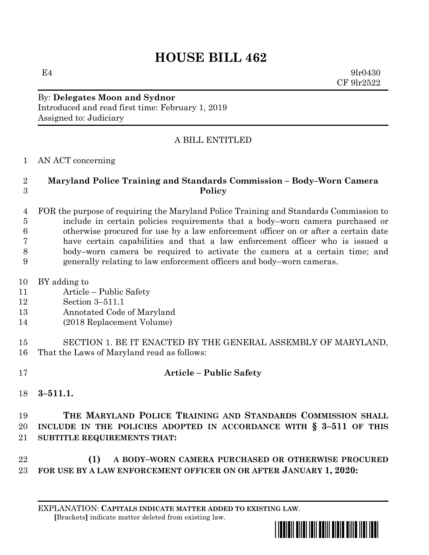# **HOUSE BILL 462**

 $E4$  9lr0430 CF 9lr2522

#### By: **Delegates Moon and Sydnor** Introduced and read first time: February 1, 2019 Assigned to: Judiciary

#### A BILL ENTITLED

AN ACT concerning

#### **Maryland Police Training and Standards Commission – Body–Worn Camera Policy**

 FOR the purpose of requiring the Maryland Police Training and Standards Commission to include in certain policies requirements that a body–worn camera purchased or otherwise procured for use by a law enforcement officer on or after a certain date have certain capabilities and that a law enforcement officer who is issued a body–worn camera be required to activate the camera at a certain time; and generally relating to law enforcement officers and body–worn cameras.

- BY adding to
- Article Public Safety
- Section 3–511.1
- Annotated Code of Maryland
- (2018 Replacement Volume)

 SECTION 1. BE IT ENACTED BY THE GENERAL ASSEMBLY OF MARYLAND, That the Laws of Maryland read as follows:

# **Article – Public Safety**

**3–511.1.**

## **THE MARYLAND POLICE TRAINING AND STANDARDS COMMISSION SHALL INCLUDE IN THE POLICIES ADOPTED IN ACCORDANCE WITH § 3–511 OF THIS SUBTITLE REQUIREMENTS THAT:**

## **(1) A BODY–WORN CAMERA PURCHASED OR OTHERWISE PROCURED FOR USE BY A LAW ENFORCEMENT OFFICER ON OR AFTER JANUARY 1, 2020:**